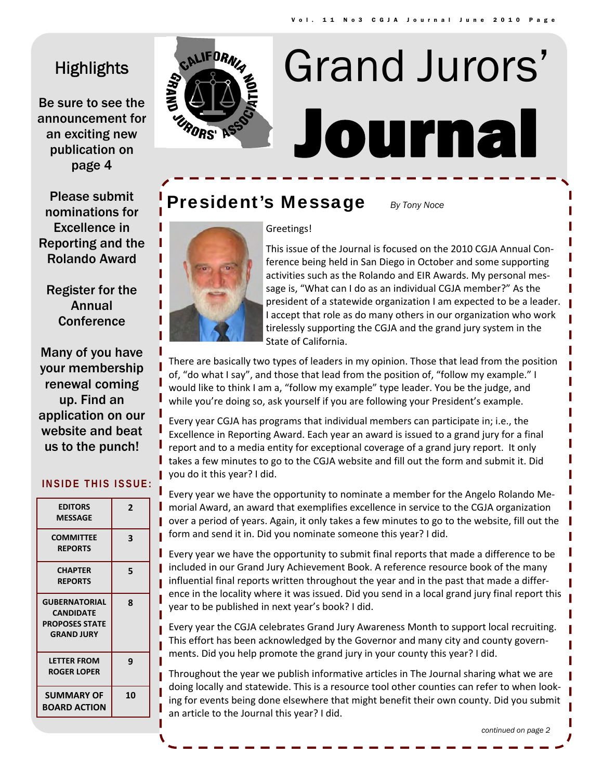# **Highlights**

Be sure to see the announcement for an exciting new publication on page 4



# Journal Grand Jurors'

# **President's Message** *By Tony Noce*



Register for the Annual **Conference** 

Many of you have your membership renewal coming up. Find an application on our website and beat us to the punch!

| <b>EDITORS</b><br><b>MESSAGE</b>                                                       | 2  |
|----------------------------------------------------------------------------------------|----|
| <b>COMMITTEE</b><br><b>REPORTS</b>                                                     | 3  |
| <b>CHAPTER</b><br><b>REPORTS</b>                                                       | 5  |
| <b>GUBERNATORIAL</b><br><b>CANDIDATE</b><br><b>PROPOSES STATE</b><br><b>GRAND JURY</b> | 8  |
| <b>LETTER FROM</b><br>ROGER LOPER                                                      | 9  |
| <b>SUMMARY OF</b><br><b>BOARD ACTION</b>                                               | 10 |

# **INSIDE THIS ISSUE:**





This issue of the Journal is focused on the 2010 CGJA Annual Con‐ ference being held in San Diego in October and some supporting activities such as the Rolando and EIR Awards. My personal mes‐ sage is, "What can I do as an individual CGJA member?" As the president of a statewide organization I am expected to be a leader. I accept that role as do many others in our organization who work tirelessly supporting the CGJA and the grand jury system in the State of California.

There are basically two types of leaders in my opinion. Those that lead from the position of, "do what I say", and those that lead from the position of, "follow my example." I would like to think I am a, "follow my example" type leader. You be the judge, and while you're doing so, ask yourself if you are following your President's example.

Every year CGJA has programs that individual members can participate in; i.e., the Excellence in Reporting Award. Each year an award is issued to a grand jury for a final report and to a media entity for exceptional coverage of a grand jury report. It only takes a few minutes to go to the CGJA website and fill out the form and submit it. Did you do it this year? I did.

Every year we have the opportunity to nominate a member for the Angelo Rolando Me‐ morial Award, an award that exemplifies excellence in service to the CGJA organization over a period of years. Again, it only takes a few minutes to go to the website, fill out the form and send it in. Did you nominate someone this year? I did.

Every year we have the opportunity to submit final reports that made a difference to be included in our Grand Jury Achievement Book. A reference resource book of the many influential final reports written throughout the year and in the past that made a differ‐ ence in the locality where it was issued. Did you send in a local grand jury final report this year to be published in next year's book? I did.

Every year the CGJA celebrates Grand Jury Awareness Month to support local recruiting. This effort has been acknowledged by the Governor and many city and county govern‐ ments. Did you help promote the grand jury in your county this year? I did.

Throughout the year we publish informative articles in The Journal sharing what we are doing locally and statewide. This is a resource tool other counties can refer to when look‐ ing for events being done elsewhere that might benefit their own county. Did you submit an article to the Journal this year? I did.

*continued on page 2*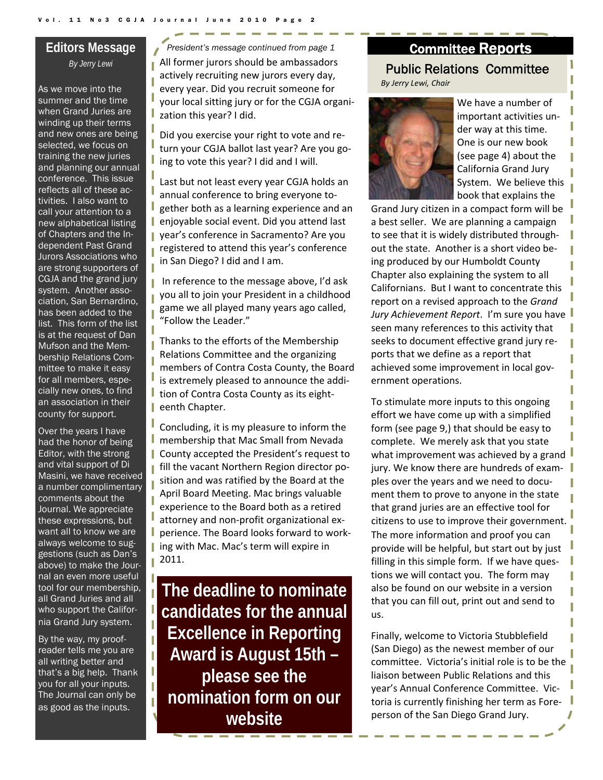## **Editors Message**  *By Jerry Lewi*

As we move into the summer and the time when Grand Juries are winding up their terms and new ones are being selected, we focus on training the new juries and planning our annual conference. This issue reflects all of these activities. I also want to call your attention to a new alphabetical listing of Chapters and the Independent Past Grand Jurors Associations who are strong supporters of CGJA and the grand jury system. Another association, San Bernardino, has been added to the list. This form of the list is at the request of Dan Mufson and the Membership Relations Committee to make it easy for all members, especially new ones, to find an association in their county for support.

Over the years I have had the honor of being Editor, with the strong and vital support of Di Masini, we have received a number complimentary comments about the Journal. We appreciate these expressions, but want all to know we are always welcome to suggestions (such as Dan's above) to make the Journal an even more useful tool for our membership, all Grand Juries and all who support the California Grand Jury system.

ı

By the way, my proofreader tells me you are all writing better and that's a big help. Thank you for all your inputs. The Journal can only be as good as the inputs.

All former jurors should be ambassadors actively recruiting new jurors every day, every year. Did you recruit someone for your local sitting jury or for the CGJA organi‐ zation this year? I did. *President's message continued from page 1* 

Did you exercise your right to vote and re‐ turn your CGJA ballot last year? Are you go‐ ing to vote this year? I did and I will.

Last but not least every year CGJA holds an annual conference to bring everyone to‐ gether both as a learning experience and an enjoyable social event. Did you attend last **I** year's conference in Sacramento? Are you registered to attend this year's conference in San Diego? I did and I am.

In reference to the message above, I'd ask you all to join your President in a childhood game we all played many years ago called, "Follow the Leader."

Thanks to the efforts of the Membership Relations Committee and the organizing members of Contra Costa County, the Board is extremely pleased to announce the addi‐ I tion of Contra Costa County as its eighteenth Chapter.

Concluding, it is my pleasure to inform the **n** membership that Mac Small from Nevada **County accepted the President's request to** fill the vacant Northern Region director po‐ sition and was ratified by the Board at the April Board Meeting. Mac brings valuable experience to the Board both as a retired attorney and non‐profit organizational ex‐ perience. The Board looks forward to work‐ ing with Mac. Mac's term will expire in 2011.

**The deadline to nominate candidates for the annual Excellence in Reporting Award is August 15th – please see the nomination form on our website** 

# Public Relations Committee *By Jerry Lewi, Chair* Committee Reports



We have a number of important activities un‐ der way at this time. One is our new book (see page 4) about the California Grand Jury System. We believe this book that explains the

Grand Jury citizen in a compact form will be a best seller. We are planning a campaign to see that it is widely distributed through‐ out the state. Another is a short video be‐ ing produced by our Humboldt County Chapter also explaining the system to all Californians. But I want to concentrate this report on a revised approach to the *Grand Jury Achievement Report*. I'm sure you have seen many references to this activity that seeks to document effective grand jury re‐ ports that we define as a report that achieved some improvement in local government operations.

To stimulate more inputs to this ongoing effort we have come up with a simplified form (see page 9,) that should be easy to complete. We merely ask that you state what improvement was achieved by a grand jury. We know there are hundreds of examples over the years and we need to docu‐ ment them to prove to anyone in the state that grand juries are an effective tool for citizens to use to improve their government. The more information and proof you can provide will be helpful, but start out by just filling in this simple form. If we have questions we will contact you. The form may also be found on our website in a version that you can fill out, print out and send to us.

Finally, welcome to Victoria Stubblefield (San Diego) as the newest member of our committee. Victoria's initial role is to be the liaison between Public Relations and this year's Annual Conference Committee. Vic‐ toria is currently finishing her term as Fore‐ person of the San Diego Grand Jury.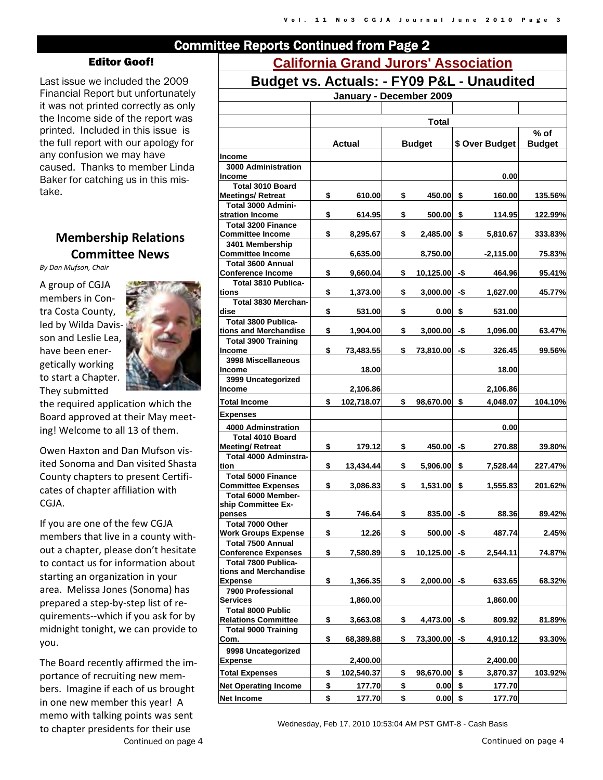# Committee Reports Continued from Page 2

#### Editor Goof!

Last issue we included the 2009 Financial Report but unfortunately it was not printed correctly as only the Income side of the report was printed. Included in this issue is the full report with our apology for any confusion we may have caused. Thanks to member Linda Baker for catching us in this mistake.

# **Membership Relations Committee News**

*By Dan Mufson, Chair*

A group of CGJA members in Con‐ tra Costa County, led by Wilda Davis‐ son and Leslie Lea, have been ener‐ getically working to start a Chapter. They submitted



the required application which the Board approved at their May meet‐ ing! Welcome to all 13 of them.

Owen Haxton and Dan Mufson vis‐ ited Sonoma and Dan visited Shasta County chapters to present Certifi‐ cates of chapter affiliation with CGJA.

If you are one of the few CGJA members that live in a county with‐ out a chapter, please don't hesitate to contact us for information about starting an organization in your area. Melissa Jones (Sonoma) has prepared a step‐by‐step list of re‐ quirements‐‐which if you ask for by midnight tonight, we can provide to you.

The Board recently affirmed the im‐ portance of recruiting new mem‐ bers. Imagine if each of us brought in one new member this year! A memo with talking points was sent to chapter presidents for their use

# **California Grand Jurors' Association**

| Budget vs. Actuals: - FY09 P&L - Unaudited |  |  |
|--------------------------------------------|--|--|
|                                            |  |  |

| Puuyti voi nuluuloi                                      |    |               |    | באט ו טט ו     |     | <b>UITUUTUU</b> |               |
|----------------------------------------------------------|----|---------------|----|----------------|-----|-----------------|---------------|
| January - December 2009                                  |    |               |    |                |     |                 |               |
|                                                          |    |               |    |                |     |                 |               |
|                                                          |    |               |    | <b>Total</b>   |     |                 |               |
|                                                          |    |               |    |                |     |                 | $%$ of        |
|                                                          |    | <b>Actual</b> |    | <b>Budget</b>  |     | \$ Over Budget  | <b>Budget</b> |
| Income                                                   |    |               |    |                |     |                 |               |
| 3000 Administration                                      |    |               |    |                |     |                 |               |
| Income                                                   |    |               |    |                |     | 0.00            |               |
| Total 3010 Board                                         |    |               |    |                |     |                 |               |
| <b>Meetings/Retreat</b>                                  | \$ | 610.00        | \$ | 450.00         | \$  | 160.00          | 135.56%       |
| Total 3000 Admini-<br>stration Income                    | \$ | 614.95        | \$ | 500.00         | \$  | 114.95          | 122.99%       |
| <b>Total 3200 Finance</b>                                |    |               |    |                |     |                 |               |
| <b>Committee Income</b>                                  | \$ | 8,295.67      | \$ | 2,485.00       | -\$ | 5,810.67        | 333.83%       |
| 3401 Membership                                          |    |               |    |                |     |                 |               |
| <b>Committee Income</b>                                  |    | 6,635.00      |    | 8,750.00       |     | $-2,115.00$     | 75.83%        |
| <b>Total 3600 Annual</b>                                 |    |               |    |                |     |                 |               |
| Conference Income                                        | \$ | 9,660.04      | \$ | 10,125.00      | -\$ | 464.96          | 95.41%        |
| Total 3810 Publica-<br>tions                             | \$ | 1,373.00      | \$ | $3,000.00 - $$ |     | 1,627.00        | 45.77%        |
| Total 3830 Merchan-                                      |    |               |    |                |     |                 |               |
| dise                                                     | \$ | 531.00        | \$ | 0.00           | \$  | 531.00          |               |
| <b>Total 3800 Publica-</b>                               |    |               |    |                |     |                 |               |
| tions and Merchandise                                    | \$ | 1.904.00      | \$ | 3,000.00       | -\$ | 1,096.00        | 63.47%        |
| <b>Total 3900 Training</b>                               |    |               |    |                |     |                 |               |
| Income                                                   | \$ | 73,483.55     | \$ | 73,810.00 -\$  |     | 326.45          | 99.56%        |
| 3998 Miscellaneous<br>Income                             |    | 18.00         |    |                |     | 18.00           |               |
| 3999 Uncategorized                                       |    |               |    |                |     |                 |               |
| Income                                                   |    | 2,106.86      |    |                |     | 2,106.86        |               |
| <b>Total Income</b>                                      | \$ | 102,718.07    | \$ | 98,670.00      | \$  | 4,048.07        | 104.10%       |
| <b>Expenses</b>                                          |    |               |    |                |     |                 |               |
| 4000 Adminstration                                       |    |               |    |                |     | 0.00            |               |
| <b>Total 4010 Board</b>                                  |    |               |    |                |     |                 |               |
| <b>Meeting/ Retreat</b>                                  | \$ | 179.12        | \$ | $450.00$ -\$   |     | 270.88          | 39.80%        |
| <b>Total 4000 Adminstra-</b>                             |    |               |    |                |     |                 |               |
| tion                                                     | \$ | 13,434.44     | \$ | 5,906.00       | \$  | 7,528.44        | 227.47%       |
| <b>Total 5000 Finance</b>                                | \$ |               | \$ |                | \$  |                 |               |
| <b>Committee Expenses</b><br>Total 6000 Member-          |    | 3,086.83      |    | 1,531.00       |     | 1,555.83        | 201.62%       |
| ship Committee Ex-                                       |    |               |    |                |     |                 |               |
| penses                                                   | \$ | 746.64        | \$ | $835.00 - $$   |     | 88.36           | 89.42%        |
| Total 7000 Other                                         |    |               |    |                |     |                 |               |
| <b>Work Groups Expense</b>                               | \$ | 12.26         | \$ | 500.00         | -\$ | 487.74          | 2.45%         |
| <b>Total 7500 Annual</b><br><b>Conference Expenses</b>   |    |               |    |                |     |                 |               |
| Total 7800 Publica-                                      | \$ | 7,580.89      | \$ | 10,125.00      | -\$ | 2,544.11        | 74.87%        |
| tions and Merchandise                                    |    |               |    |                |     |                 |               |
| <b>Expense</b>                                           | \$ | 1,366.35      | \$ | $2,000.00$ -\$ |     | 633.65          | 68.32%        |
| 7900 Professional                                        |    |               |    |                |     |                 |               |
| <b>Services</b>                                          |    | 1,860.00      |    |                |     | 1,860.00        |               |
| <b>Total 8000 Public</b>                                 |    |               |    |                |     |                 | 81.89%        |
| <b>Relations Committee</b><br><b>Total 9000 Training</b> | \$ | 3,663.08      | \$ | 4,473.00       | -\$ | 809.92          |               |
| <u>Com.</u>                                              | \$ | 68,389.88     | \$ | 73,300.00      | -\$ | 4,910.12        | 93.30%        |
| 9998 Uncategorized                                       |    |               |    |                |     |                 |               |
| <b>Expense</b>                                           |    | 2,400.00      |    |                |     | 2,400.00        |               |
| <b>Total Expenses</b>                                    | \$ | 102,540.37    | \$ | 98,670.00 \$   |     | 3,870.37        | 103.92%       |
| <b>Net Operating Income</b>                              | \$ | 177.70        | \$ | $0.00 \,$ \$   |     | 177.70          |               |
|                                                          | \$ |               | \$ | $0.00 \,$ \$   |     |                 |               |
| Net Income                                               |    | 177.70        |    |                |     | 177.70          |               |

Wednesday, Feb 17, 2010 10:53:04 AM PST GMT-8 - Cash Basis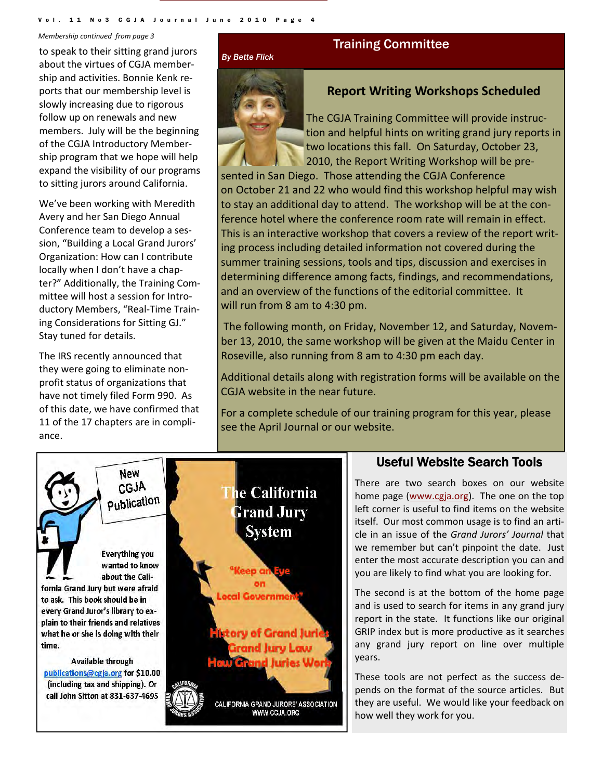Vol. 11 No3 CGJA Journal June 2010

*Membership continued from page 3*

to speak to their sitting grand jurors about the virtues of CGJA member‐ ship and activities. Bonnie Kenk re‐ ports that our membership level is slowly increasing due to rigorous follow up on renewals and new members. July will be the beginning of the CGJA Introductory Member‐ ship program that we hope will help expand the visibility of our programs to sitting jurors around California.

We've been working with Meredith Avery and her San Diego Annual Conference team to develop a ses‐ sion, "Building a Local Grand Jurors' Organization: How can I contribute locally when I don't have a chap‐ ter?" Additionally, the Training Com‐ mittee will host a session for Intro‐ ductory Members, "Real‐Time Train‐ ing Considerations for Sitting GJ." Stay tuned for details.

The IRS recently announced that they were going to eliminate non‐ profit status of organizations that have not timely filed Form 990. As of this date, we have confirmed that 11 of the 17 chapters are in compli‐ ance.

#### *By Bette Flick*



# Training Committee

# **Report Writing Workshops Scheduled**

The CGJA Training Committee will provide instruc‐ tion and helpful hints on writing grand jury reports in two locations this fall. On Saturday, October 23, 2010, the Report Writing Workshop will be pre‐

sented in San Diego. Those attending the CGJA Conference on October 21 and 22 who would find this workshop helpful may wish to stay an additional day to attend. The workshop will be at the con‐ ference hotel where the conference room rate will remain in effect. This is an interactive workshop that covers a review of the report writ‐ ing process including detailed information not covered during the summer training sessions, tools and tips, discussion and exercises in determining difference among facts, findings, and recommendations, and an overview of the functions of the editorial committee. It will run from 8 am to 4:30 pm.

The following month, on Friday, November 12, and Saturday, Novem‐ ber 13, 2010, the same workshop will be given at the Maidu Center in Roseville, also running from 8 am to 4:30 pm each day.

Additional details along with registration forms will be available on the CGJA website in the near future.

For a complete schedule of our training program for this year, please see the April Journal or our website.



# Useful Website Search Tools

There are two search boxes on our website home page (www.cgja.org). The one on the top left corner is useful to find items on the website itself. Our most common usage is to find an arti‐ cle in an issue of the *Grand Jurors' Journal* that we remember but can't pinpoint the date. Just enter the most accurate description you can and you are likely to find what you are looking for.

The second is at the bottom of the home page and is used to search for items in any grand jury report in the state. It functions like our original GRIP index but is more productive as it searches any grand jury report on line over multiple years.

These tools are not perfect as the success de‐ pends on the format of the source articles. But they are useful. We would like your feedback on how well they work for you.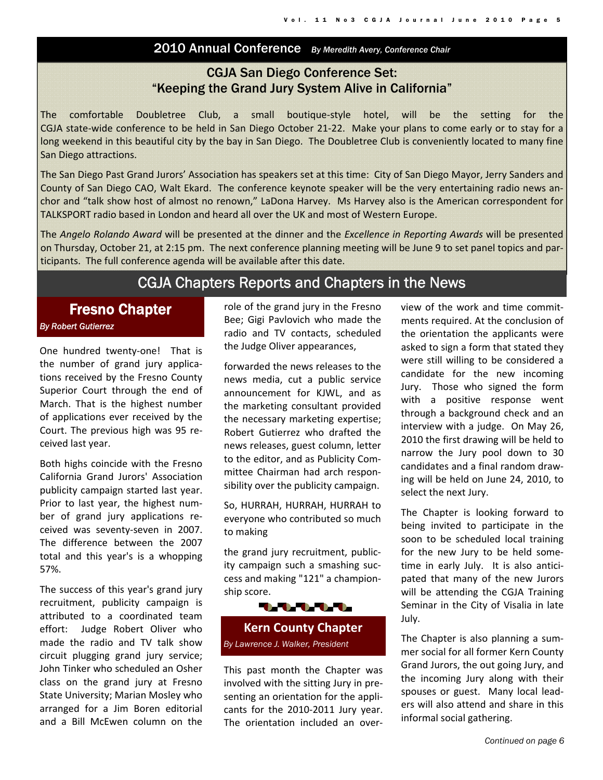# 2010 Annual Conference *By Meredith Avery, Conference Chair*

# CGJA San Diego Conference Set: "Keeping the Grand Jury System Alive in California"

The comfortable Doubletree Club, a small boutique‐style hotel, will be the setting for the CGJA state‐wide conference to be held in San Diego October 21‐22. Make your plans to come early or to stay for a long weekend in this beautiful city by the bay in San Diego. The Doubletree Club is conveniently located to many fine San Diego attractions.

The San Diego Past Grand Jurors' Association has speakers set at this time: City of San Diego Mayor, Jerry Sanders and County of San Diego CAO, Walt Ekard. The conference keynote speaker will be the very entertaining radio news an‐ chor and "talk show host of almost no renown," LaDona Harvey. Ms Harvey also is the American correspondent for TALKSPORT radio based in London and heard all over the UK and most of Western Europe.

The *Angelo Rolando Award* will be presented at the dinner and the *Excellence in Reporting Awards* will be presented on Thursday, October 21, at 2:15 pm. The next conference planning meeting will be June 9 to set panel topics and par‐ ticipants. The full conference agenda will be available after this date.

# CGJA Chapters Reports and Chapters in the News

# Fresno Chapter

#### *By Robert Gutierrez*

One hundred twenty-one! That is the number of grand jury applica‐ tions received by the Fresno County Superior Court through the end of March. That is the highest number of applications ever received by the Court. The previous high was 95 re‐ ceived last year.

Both highs coincide with the Fresno California Grand Jurors' Association publicity campaign started last year. Prior to last year, the highest num‐ ber of grand jury applications re‐ ceived was seventy‐seven in 2007. The difference between the 2007 total and this year's is a whopping 57%.

The success of this year's grand jury recruitment, publicity campaign is attributed to a coordinated team effort: Judge Robert Oliver who made the radio and TV talk show circuit plugging grand jury service; John Tinker who scheduled an Osher class on the grand jury at Fresno State University; Marian Mosley who arranged for a Jim Boren editorial and a Bill McEwen column on the role of the grand jury in the Fresno Bee; Gigi Pavlovich who made the radio and TV contacts, scheduled the Judge Oliver appearances,

forwarded the news releases to the news media, cut a public service announcement for KJWL, and as the marketing consultant provided the necessary marketing expertise; Robert Gutierrez who drafted the news releases, guest column, letter to the editor, and as Publicity Com‐ mittee Chairman had arch respon‐ sibility over the publicity campaign.

So, HURRAH, HURRAH, HURRAH to everyone who contributed so much to making

the grand jury recruitment, public‐ ity campaign such a smashing suc‐ cess and making "121" a champion‐ ship score.



This past month the Chapter was involved with the sitting Jury in pre‐ senting an orientation for the appli‐ cants for the 2010‐2011 Jury year. The orientation included an over‐ view of the work and time commit‐ ments required. At the conclusion of the orientation the applicants were asked to sign a form that stated they were still willing to be considered a candidate for the new incoming Jury. Those who signed the form with a positive response went through a background check and an interview with a judge. On May 26, 2010 the first drawing will be held to narrow the Jury pool down to 30 candidates and a final random draw‐ ing will be held on June 24, 2010, to select the next Jury.

The Chapter is looking forward to being invited to participate in the soon to be scheduled local training for the new Jury to be held some‐ time in early July. It is also anticipated that many of the new Jurors will be attending the CGJA Training Seminar in the City of Visalia in late July.

The Chapter is also planning a sum‐ mer social for all former Kern County Grand Jurors, the out going Jury, and the incoming Jury along with their spouses or guest. Many local leaders will also attend and share in this informal social gathering.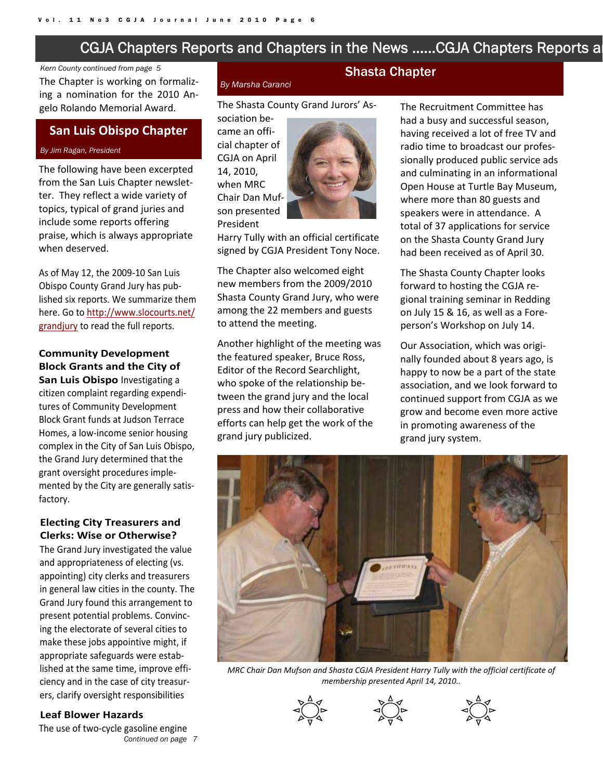# CGJA Chapters Reports and Chapters in the News …...CGJA Chapters Reports an

#### *Kern County continued from page 5*

The Chapter is working on formaliz‐ ing a nomination for the 2010 An‐ gelo Rolando Memorial Award. The Shasta County Grand Jurors' As-

#### **San Luis Obispo Chapter**

#### *By Jim Ragan, President*

The following have been excerpted from the San Luis Chapter newslet‐ ter. They reflect a wide variety of topics, typical of grand juries and include some reports offering praise, which is always appropriate when deserved.

As of May 12, the 2009‐10 San Luis Obispo County Grand Jury has pub‐ lished six reports. We summarize them here. Go to http://www.slocourts.net/ grandjury to read the full reports.

# **Community Development Block Grants and the City of**

**San Luis Obispo** Investigating a citizen complaint regarding expendi‐ tures of Community Development Block Grant funds at Judson Terrace Homes, a low‐income senior housing complex in the City of San Luis Obispo, the Grand Jury determined that the grant oversight procedures imple‐ mented by the City are generally satis‐ factory.

#### **Electing City Treasurers and Clerks: Wise or Otherwise?**

The Grand Jury investigated the value and appropriateness of electing (vs. appointing) city clerks and treasurers in general law cities in the county. The Grand Jury found this arrangement to present potential problems. Convinc‐ ing the electorate of several cities to make these jobs appointive might, if appropriate safeguards were estab‐ lished at the same time, improve effi‐ ciency and in the case of city treasur‐ ers, clarify oversight responsibilities

#### **Leaf Blower Hazards**

*Continued on page 7*  The use of two‐cycle gasoline engine

#### *By Marsha Caranci*

sociation be‐ came an offi‐ cial chapter of CGJA on April 14, 2010, when MRC Chair Dan Muf‐ son presented President



Harry Tully with an official certificate signed by CGJA President Tony Noce.

The Chapter also welcomed eight new members from the 2009/2010 Shasta County Grand Jury, who were among the 22 members and guests to attend the meeting.

Another highlight of the meeting was the featured speaker, Bruce Ross, Editor of the Record Searchlight, who spoke of the relationship between the grand jury and the local press and how their collaborative efforts can help get the work of the grand jury publicized.

# Shasta Chapter

The Recruitment Committee has had a busy and successful season, having received a lot of free TV and radio time to broadcast our profes‐ sionally produced public service ads and culminating in an informational Open House at Turtle Bay Museum, where more than 80 guests and speakers were in attendance. A total of 37 applications for service on the Shasta County Grand Jury had been received as of April 30.

The Shasta County Chapter looks forward to hosting the CGJA re‐ gional training seminar in Redding on July 15 & 16, as well as a Fore‐ person's Workshop on July 14.

Our Association, which was origi‐ nally founded about 8 years ago, is happy to now be a part of the state association, and we look forward to continued support from CGJA as we grow and become even more active in promoting awareness of the grand jury system.



*MRC Chair Dan Mufson and Shasta CGJA President Harry Tully with the official certificate of membership presented April 14, 2010..* 





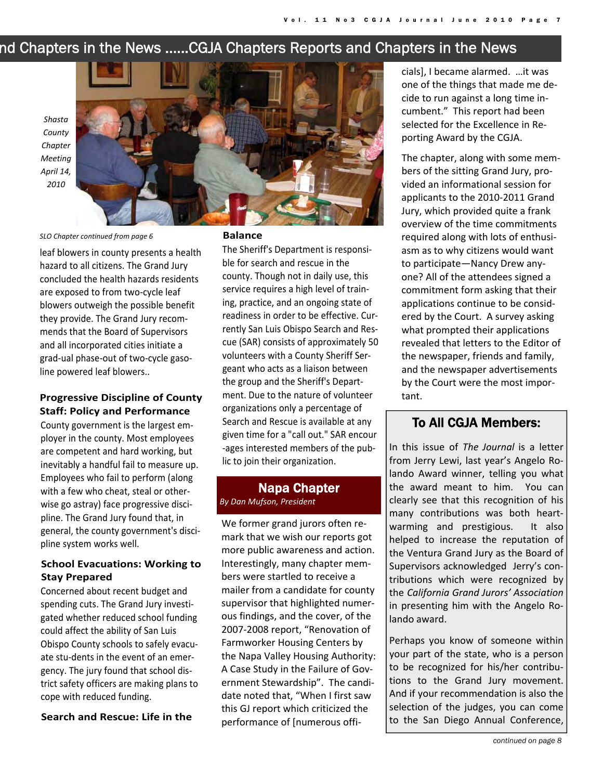# nd Chapters in the News …...CGJA Chapters Reports and Chapters in the News

*Shasta County Chapter Meeting April 14, 2010*

#### *SLO Chapter continued from page 6*

leaf blowers in county presents a health hazard to all citizens. The Grand Jury concluded the health hazards residents are exposed to from two‐cycle leaf blowers outweigh the possible benefit they provide. The Grand Jury recom‐ mends that the Board of Supervisors and all incorporated cities initiate a grad‐ual phase‐out of two‐cycle gaso‐ line powered leaf blowers..

#### **Progressive Discipline of County Staff: Policy and Performance**

County government is the largest em‐ ployer in the county. Most employees are competent and hard working, but inevitably a handful fail to measure up. Employees who fail to perform (along with a few who cheat, steal or otherwise go astray) face progressive disci‐ pline. The Grand Jury found that, in general, the county government's disci‐ pline system works well.

#### **School Evacuations: Working to Stay Prepared**

Concerned about recent budget and spending cuts. The Grand Jury investi‐ gated whether reduced school funding could affect the ability of San Luis Obispo County schools to safely evacu‐ ate stu‐dents in the event of an emer‐ gency. The jury found that school dis‐ trict safety officers are making plans to cope with reduced funding.

#### **Search and Rescue: Life in the**

#### **Balance**

The Sheriff's Department is responsi‐ ble for search and rescue in the county. Though not in daily use, this service requires a high level of train‐ ing, practice, and an ongoing state of readiness in order to be effective. Cur‐ rently San Luis Obispo Search and Res‐ cue (SAR) consists of approximately 50 volunteers with a County Sheriff Ser‐ geant who acts as a liaison between the group and the Sheriff's Depart‐ ment. Due to the nature of volunteer organizations only a percentage of Search and Rescue is available at any given time for a "call out." SAR encour ‐ages interested members of the pub‐ lic to join their organization.

#### Napa Chapter *By Dan Mufson, President*

We former grand jurors often remark that we wish our reports got more public awareness and action. Interestingly, many chapter mem‐ bers were startled to receive a mailer from a candidate for county supervisor that highlighted numer‐ ous findings, and the cover, of the 2007‐2008 report, "Renovation of Farmworker Housing Centers by the Napa Valley Housing Authority: A Case Study in the Failure of Gov‐ ernment Stewardship". The candi‐ date noted that, "When I first saw this GJ report which criticized the performance of [numerous offi‐

cials], I became alarmed. …it was one of the things that made me de‐ cide to run against a long time in‐ cumbent." This report had been selected for the Excellence in Re‐ porting Award by the CGJA.

The chapter, along with some mem‐ bers of the sitting Grand Jury, pro‐ vided an informational session for applicants to the 2010‐2011 Grand Jury, which provided quite a frank overview of the time commitments required along with lots of enthusi‐ asm as to why citizens would want to participate—Nancy Drew any‐ one? All of the attendees signed a commitment form asking that their applications continue to be consid‐ ered by the Court. A survey asking what prompted their applications revealed that letters to the Editor of the newspaper, friends and family, and the newspaper advertisements by the Court were the most impor‐ tant.

# To All CGJA Members:

In this issue of *The Journal* is a letter from Jerry Lewi, last year's Angelo Ro‐ lando Award winner, telling you what the award meant to him. You can clearly see that this recognition of his many contributions was both heart‐ warming and prestigious. It also helped to increase the reputation of the Ventura Grand Jury as the Board of Supervisors acknowledged Jerry's con‐ tributions which were recognized by the *California Grand Jurors' Association* in presenting him with the Angelo Ro‐ lando award.

Perhaps you know of someone within your part of the state, who is a person to be recognized for his/her contribu‐ tions to the Grand Jury movement. And if your recommendation is also the selection of the judges, you can come to the San Diego Annual Conference,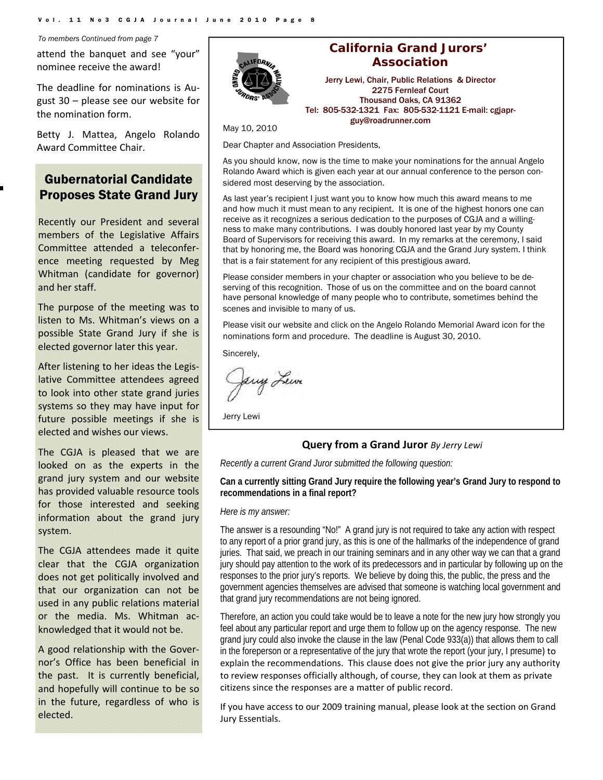*To members Continued from page 7* 

attend the banquet and see "your" nominee receive the award!

The deadline for nominations is Au‐ gust 30 – please see our website for the nomination form.

Betty J. Mattea, Angelo Rolando Award Committee Chair.

# Gubernatorial Candidate Proposes State Grand Jury

Recently our President and several members of the Legislative Affairs Committee attended a teleconfer‐ ence meeting requested by Meg Whitman (candidate for governor) and her staff.

The purpose of the meeting was to listen to Ms. Whitman's views on a possible State Grand Jury if she is elected governor later this year.

After listening to her ideas the Legis‐ lative Committee attendees agreed to look into other state grand juries systems so they may have input for future possible meetings if she is elected and wishes our views.

The CGJA is pleased that we are looked on as the experts in the grand jury system and our website has provided valuable resource tools for those interested and seeking information about the grand jury system.

The CGJA attendees made it quite clear that the CGJA organization does not get politically involved and that our organization can not be used in any public relations material or the media. Ms. Whitman ac‐ knowledged that it would not be.

A good relationship with the Gover‐ nor's Office has been beneficial in the past. It is currently beneficial, and hopefully will continue to be so in the future, regardless of who is elected.



## **California Grand Jurors' Association**

Jerry Lewi, Chair, Public Relations & Director 2275 Fernleaf Court Thousand Oaks, CA 91362 Tel: 805-532-1321 Fax: 805-532-1121 E-mail: cgjaprguy@roadrunner.com

May 10, 2010

Dear Chapter and Association Presidents,

As you should know, now is the time to make your nominations for the annual Angelo Rolando Award which is given each year at our annual conference to the person considered most deserving by the association.

As last year's recipient I just want you to know how much this award means to me and how much it must mean to any recipient. It is one of the highest honors one can receive as it recognizes a serious dedication to the purposes of CGJA and a willingness to make many contributions. I was doubly honored last year by my County Board of Supervisors for receiving this award. In my remarks at the ceremony, I said that by honoring me, the Board was honoring CGJA and the Grand Jury system. I think that is a fair statement for any recipient of this prestigious award.

Please consider members in your chapter or association who you believe to be deserving of this recognition. Those of us on the committee and on the board cannot have personal knowledge of many people who to contribute, sometimes behind the scenes and invisible to many of us.

Please visit our website and click on the Angelo Rolando Memorial Award icon for the nominations form and procedure. The deadline is August 30, 2010.

Sincerely,

Jerry Lewe

Jerry Lewi

#### **Query from a Grand Juror** *By Jerry Lewi*

*Recently a current Grand Juror submitted the following question:* 

#### **Can a currently sitting Grand Jury require the following year's Grand Jury to respond to recommendations in a final report?**

#### *Here is my answer:*

The answer is a resounding "No!" A grand jury is not required to take any action with respect to any report of a prior grand jury, as this is one of the hallmarks of the independence of grand juries. That said, we preach in our training seminars and in any other way we can that a grand jury should pay attention to the work of its predecessors and in particular by following up on the responses to the prior jury's reports. We believe by doing this, the public, the press and the government agencies themselves are advised that someone is watching local government and that grand jury recommendations are not being ignored.

Therefore, an action you could take would be to leave a note for the new jury how strongly you feel about any particular report and urge them to follow up on the agency response. The new grand jury could also invoke the clause in the law (Penal Code 933(a)) that allows them to call in the foreperson or a representative of the jury that wrote the report (your jury, I presume) to explain the recommendations. This clause does not give the prior jury any authority to review responses officially although, of course, they can look at them as private citizens since the responses are a matter of public record.

If you have access to our 2009 training manual, please look at the section on Grand Jury Essentials.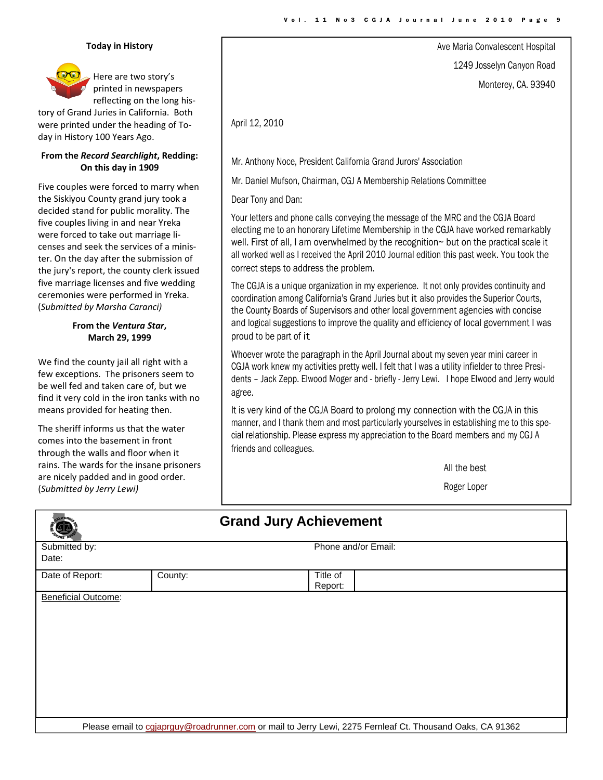Ave Maria Convalescent Hospital

1249 Josselyn Canyon Road

Monterey, CA. 93940

#### **Today in History**

Here are two story's printed in newspapers reflecting on the long his‐

tory of Grand Juries in California. Both were printed under the heading of To‐ day in History 100 Years Ago.

#### **From the** *Record Searchlight***, Redding: On this day in 1909**

Five couples were forced to marry when the Siskiyou County grand jury took a decided stand for public morality. The five couples living in and near Yreka were forced to take out marriage li‐ censes and seek the services of a minis‐ ter. On the day after the submission of the jury's report, the county clerk issued five marriage licenses and five wedding ceremonies were performed in Yreka. (*Submitted by Marsha Caranci)*

#### **From the** *Ventura Star***, March 29, 1999**

We find the county jail all right with a few exceptions. The prisoners seem to be well fed and taken care of, but we find it very cold in the iron tanks with no means provided for heating then.

The sheriff informs us that the water comes into the basement in front through the walls and floor when it rains. The wards for the insane prisoners are nicely padded and in good order. (*Submitted by Jerry Lewi)*

Mr. Anthony Noce, President California Grand Jurors' Association

Mr. Daniel Mufson, Chairman, CGJ A Membership Relations Committee

Dear Tony and Dan:

April 12, 2010

Your letters and phone calls conveying the message of the MRC and the CGJA Board electing me to an honorary Lifetime Membership in the CGJA have worked remarkably well. First of all, I am overwhelmed by the recognition~ but on the practical scale it all worked well as I received the April 2010 Journal edition this past week. You took the correct steps to address the problem.

The CGJA is a unique organization in my experience. It not only provides continuity and coordination among California's Grand Juries but it also provides the Superior Courts, the County Boards of Supervisors and other local government agencies with concise and logical suggestions to improve the quality and efficiency of local government I was proud to be part of it

Whoever wrote the paragraph in the April Journal about my seven year mini career in CGJA work knew my activities pretty well. I felt that I was a utility infielder to three Presidents – Jack Zepp. Elwood Moger and - briefly - Jerry Lewi. I hope Elwood and Jerry would agree.

It is very kind of the CGJA Board to prolong my connection with the CGJA in this manner, and I thank them and most particularly yourselves in establishing me to this special relationship. Please express my appreciation to the Board members and my CGJ A friends and colleagues.

All the best

Roger Loper

|                                                                                                           | <b>Grand Jury Achievement</b> |                     |  |  |  |
|-----------------------------------------------------------------------------------------------------------|-------------------------------|---------------------|--|--|--|
| Submitted by:                                                                                             |                               | Phone and/or Email: |  |  |  |
| Date:                                                                                                     |                               |                     |  |  |  |
| Date of Report:                                                                                           | County:                       | Title of<br>Report: |  |  |  |
| <b>Beneficial Outcome:</b>                                                                                |                               |                     |  |  |  |
|                                                                                                           |                               |                     |  |  |  |
|                                                                                                           |                               |                     |  |  |  |
|                                                                                                           |                               |                     |  |  |  |
|                                                                                                           |                               |                     |  |  |  |
|                                                                                                           |                               |                     |  |  |  |
|                                                                                                           |                               |                     |  |  |  |
| Please email to cgjaprguy@roadrunner.com or mail to Jerry Lewi, 2275 Fernleaf Ct. Thousand Oaks, CA 91362 |                               |                     |  |  |  |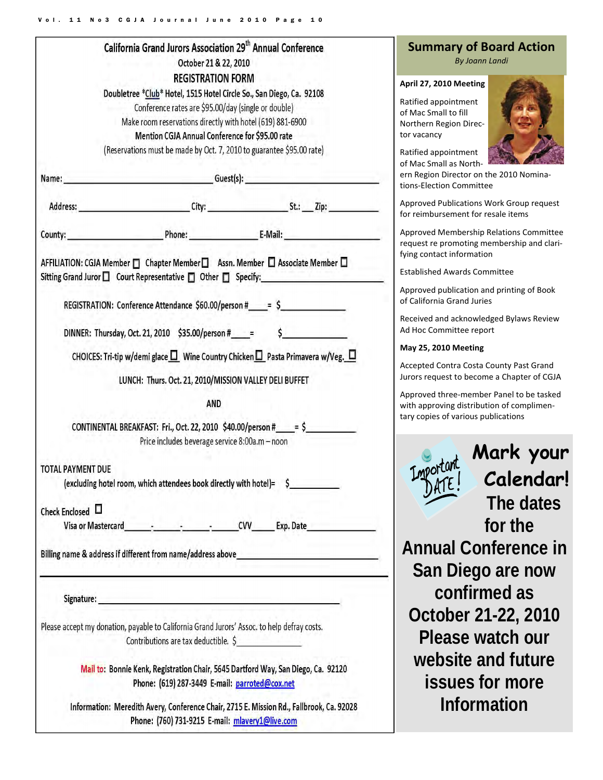| California Grand Jurors Association 29 <sup>th</sup> Annual Conference | <b>Summary of</b><br>By J <sub>0</sub>                                                                                                                                                                                         |                                                                                                                                                                                                            |                                                                                 |  |  |  |
|------------------------------------------------------------------------|--------------------------------------------------------------------------------------------------------------------------------------------------------------------------------------------------------------------------------|------------------------------------------------------------------------------------------------------------------------------------------------------------------------------------------------------------|---------------------------------------------------------------------------------|--|--|--|
|                                                                        | <b>REGISTRATION FORM</b><br>Doubletree *Club* Hotel, 1515 Hotel Circle So., San Diego, Ca. 92108                                                                                                                               |                                                                                                                                                                                                            | April 27, 2010 Mee                                                              |  |  |  |
|                                                                        | Conference rates are \$95.00/day (single or double)<br>Make room reservations directly with hotel (619) 881-6900<br>Mention CGJA Annual Conference for \$95.00 rate                                                            |                                                                                                                                                                                                            | Ratified appointme<br>of Mac Small to fill<br>Northern Region Di<br>tor vacancy |  |  |  |
|                                                                        | (Reservations must be made by Oct. 7, 2010 to guarantee \$95.00 rate)                                                                                                                                                          |                                                                                                                                                                                                            | Ratified appointme<br>of Mac Small as No                                        |  |  |  |
|                                                                        | Name: __________________________________Guest(s): ______________________________                                                                                                                                               |                                                                                                                                                                                                            |                                                                                 |  |  |  |
|                                                                        |                                                                                                                                                                                                                                |                                                                                                                                                                                                            | Approved Publicati<br>for reimbursement                                         |  |  |  |
|                                                                        |                                                                                                                                                                                                                                | County: <u>County: E-Mail:</u>                                                                                                                                                                             | Approved Member<br>request re promoti                                           |  |  |  |
|                                                                        |                                                                                                                                                                                                                                | AFFILIATION: CGJA Member □ Chapter Member □ Assn. Member □ Associate Member □<br>Sitting Grand Juror □ Court Representative □ Other □ Specify: National Account Of Court Representative □ Other □ Specify: | fying contact inforr<br><b>Established Awards</b>                               |  |  |  |
|                                                                        | REGISTRATION: Conference Attendance \$60.00/person #_____= \$_____________________                                                                                                                                             |                                                                                                                                                                                                            | Approved publicati<br>of California Grand                                       |  |  |  |
|                                                                        |                                                                                                                                                                                                                                | DINNER: Thursday, Oct. 21, 2010 \$35.00/person #____= \$__________________________                                                                                                                         | Received and ackno<br>Ad Hoc Committee                                          |  |  |  |
|                                                                        | May 25, 2010 Mee                                                                                                                                                                                                               |                                                                                                                                                                                                            |                                                                                 |  |  |  |
|                                                                        | LUNCH: Thurs. Oct. 21, 2010/MISSION VALLEY DELI BUFFET                                                                                                                                                                         | CHOICES: Tri-tip w/demi glace $\square$ Wine Country Chicken $\square$ Pasta Primavera w/Veg. $\square$                                                                                                    | Accepted Contra Co<br>Jurors request to b                                       |  |  |  |
|                                                                        | <b>AND</b>                                                                                                                                                                                                                     |                                                                                                                                                                                                            | Approved three-me<br>with approving dist                                        |  |  |  |
|                                                                        | Price includes beverage service 8:00a.m - noon                                                                                                                                                                                 | CONTINENTAL BREAKFAST: Fri., Oct. 22, 2010 $$40.00/person # = $$                                                                                                                                           | tary copies of vario                                                            |  |  |  |
| <b>TOTAL PAYMENT DUE</b>                                               |                                                                                                                                                                                                                                |                                                                                                                                                                                                            | Importal                                                                        |  |  |  |
|                                                                        | (excluding hotel room, which attendees book directly with hotel)= \$                                                                                                                                                           |                                                                                                                                                                                                            | DATE!                                                                           |  |  |  |
| Check Enclosed $\Box$                                                  |                                                                                                                                                                                                                                |                                                                                                                                                                                                            |                                                                                 |  |  |  |
|                                                                        |                                                                                                                                                                                                                                |                                                                                                                                                                                                            |                                                                                 |  |  |  |
|                                                                        |                                                                                                                                                                                                                                | Billing name & address if different from name/address above______________________                                                                                                                          | <b>Annual C</b>                                                                 |  |  |  |
|                                                                        |                                                                                                                                                                                                                                |                                                                                                                                                                                                            | San Die                                                                         |  |  |  |
|                                                                        | Signature: state and the contract of the contract of the contract of the contract of the contract of the contract of the contract of the contract of the contract of the contract of the contract of the contract of the contr |                                                                                                                                                                                                            | conf                                                                            |  |  |  |
|                                                                        | Please accept my donation, payable to California Grand Jurors' Assoc. to help defray costs.                                                                                                                                    |                                                                                                                                                                                                            | October                                                                         |  |  |  |
|                                                                        | Contributions are tax deductible. \$                                                                                                                                                                                           |                                                                                                                                                                                                            | Please                                                                          |  |  |  |
|                                                                        |                                                                                                                                                                                                                                | Mail to: Bonnie Kenk, Registration Chair, 5645 Dartford Way, San Diego, Ca. 92120                                                                                                                          | website                                                                         |  |  |  |
|                                                                        | Phone: (619) 287-3449 E-mail: parroted@cox.net                                                                                                                                                                                 |                                                                                                                                                                                                            | issue:                                                                          |  |  |  |
|                                                                        | Phone: (760) 731-9215 E-mail: mlavery1@live.com                                                                                                                                                                                | Information: Meredith Avery, Conference Chair, 2715 E. Mission Rd., Fallbrook, Ca. 92028                                                                                                                   | Info                                                                            |  |  |  |

# **Summary of Board Action**

*By Joann Landi*

#### **April 27, 2010 Meeting**

 $ent$ irec-



Ratified appointment rth‐

r on the 2010 Nominaimittee

ions Work Group request for resale items

rship Relations Committee ing membership and clarimation

s Committee

ion and printing of Book **Juries** 

owledged Bylaws Review report

#### **May 25, 2010 Meeting**

osta County Past Grand ecome a Chapter of CGJA

ember Panel to be tasked tribution of complimenus publications

> **Mark your Calendar! The dates for the**  Conference in **San Bigo are now confirmed as October 21-22, 2010**  watch our **website and future is for more Information**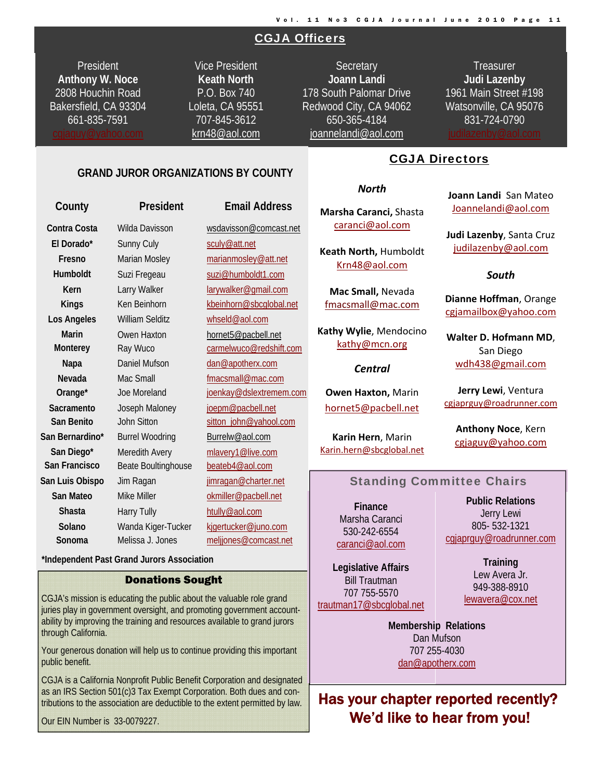# CGJA Officers

President **Anthony W. Noce**  2808 Houchin Road Bakersfield, CA 93304 661-835-7591

Vice President **Keath North**  P.O. Box 740 Loleta, CA 95551 707-845-3612 krn48@aol.com

**Secretary Joann Landi** 178 South Palomar Drive Redwood City, CA 94062 650-365-4184 joannelandi@aol.com

**Treasurer Judi Lazenby**  1961 Main Street #198 Watsonville, CA 95076 831-724-0790

i

#### **GRAND JUROR ORGANIZATIONS BY COUNTY**

| County          | President              | <b>Email Address</b>    |
|-----------------|------------------------|-------------------------|
| Contra Costa    | Wilda Davisson         | wsdavisson@comcast.net  |
| El Dorado*      | <b>Sunny Culy</b>      | sculy@att.net           |
| Fresno          | Marian Mosley          | marianmosley@att.net    |
| Humboldt        | Suzi Fregeau           | suzi@humboldt1.com      |
| Kern            | Larry Walker           | larywalker@gmail.com    |
| <b>Kings</b>    | Ken Beinhorn           | kbeinhorn@sbcglobal.net |
| Los Angeles     | <b>William Selditz</b> | whseld@aol.com          |
| <b>Marin</b>    | Owen Haxton            | hornet5@pacbell.net     |
| <b>Monterey</b> | Ray Wuco               | carmelwuco@redshift.com |
| Napa            | Daniel Mufson          | dan@apotherx.com        |
| Nevada          | Mac Small              | fmacsmall@mac.com       |
| Orange*         | Joe Moreland           | joenkay@dslextremem.com |
| Sacramento      | Joseph Maloney         | joepm@pacbell.net       |
| San Benito      | John Sitton            | sitton_john@yahool.com  |
| San Bernardino* | <b>Burrel Woodring</b> | Burrelw@aol.com         |
| San Diego*      | Meredith Avery         | mlavery1@live.com       |
| San Francisco   | Beate Boultinghouse    | beateb4@aol.com         |
| San Luis Obispo | Jim Ragan              | jimragan@charter.net    |
| San Mateo       | Mike Miller            | okmiller@pacbell.net    |
| <b>Shasta</b>   | <b>Harry Tully</b>     | htully@aol.com          |
| Solano          | Wanda Kiger-Tucker     | kjgertucker@juno.com    |
| Sonoma          | Melissa J. Jones       | meljjones@comcast.net   |

 **\*Independent Past Grand Jurors Association** 

#### Donations Sought

CGJA's mission is educating the public about the valuable role grand juries play in government oversight, and promoting government accountability by improving the training and resources available to grand jurors through California.

Your generous donation will help us to continue providing this important public benefit.

CGJA is a California Nonprofit Public Benefit Corporation and designated as an IRS Section 501(c)3 Tax Exempt Corporation. Both dues and contributions to the association are deductible to the extent permitted by law.

Our EIN Number is 33-0079227.

CGJA Directors

#### *North*

**Marsha Caranci,** Shasta caranci@aol.com

**Keath North,** Humboldt Krn48@aol.com

**Mac Small,** Nevada fmacsmall@mac.com

**Kathy Wylie**, Mendocino kathy@mcn.org

#### *Central*

**Owen Haxton,** Marin hornet5@pacbell.net

**Karin Hern**, Marin Karin.hern@sbcglobal.net **Joann Landi** San Mateo Joannelandi@aol.com

**Judi Lazenby**, Santa Cruz judilazenby@aol.com

#### *South*

**Dianne Hoffman**, Orange cgjamailbox@yahoo.com

**Walter D. Hofmann MD**, San Diego wdh438@gmail.com

**Jerry Lewi**, Ventura cgjaprguy@roadrunner.com

**Anthony Noce**, Kern cgjaguy@yahoo.com

#### Standing Committee Chairs

**Finance**  Marsha Caranci 530-242-6554 caranci@aol.com

**Legislative Affairs**  Bill Trautman 707 755-5570 trautman17@sbcglobal.net

**Public Relations**  Jerry Lewi 805- 532-1321 cgiaprauy@roadrunner.com

> **Training**  Lew Avera Jr. 949-388-8910 lewavera@cox.net

**Membership Relations**  707 255-4030 **Membership Relations**  Dan Mufson 707 255-4030 dan@apotherx.com

Has your chapter reported recently? We'd like to hear from you!